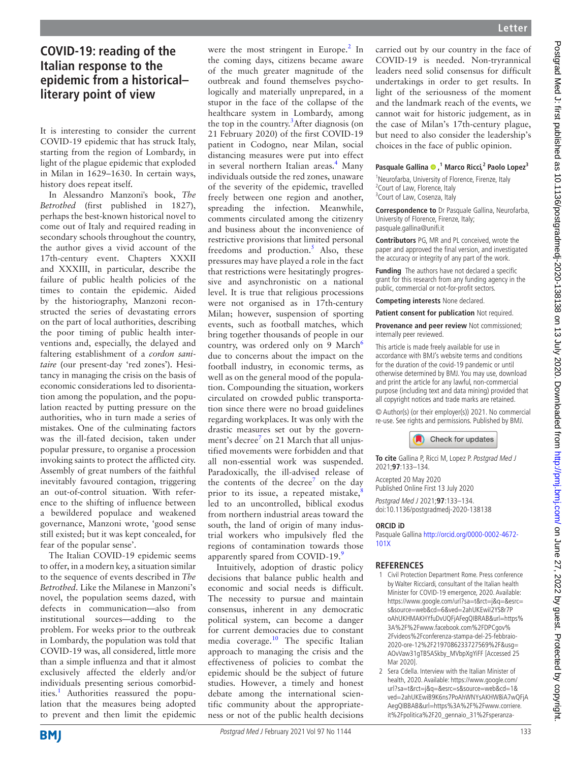## **COVID-19: reading of the Italian response to the epidemic from a historical– literary point of view**

It is interesting to consider the current COVID-19 epidemic that has struck Italy, starting from the region of Lombardy, in light of the plague epidemic that exploded in Milan in 1629–1630. In certain ways, history does repeat itself.

In Alessandro Manzoni's book, *The Betrothed* (first published in 1827), perhaps the best-known historical novel to come out of Italy and required reading in secondary schools throughout the country, the author gives a vivid account of the 17th-century event. Chapters XXXII and XXXIII, in particular, describe the failure of public health policies of the times to contain the epidemic. Aided by the historiography, Manzoni reconstructed the series of devastating errors on the part of local authorities, describing the poor timing of public health interventions and, especially, the delayed and faltering establishment of a *cordon sanitaire* (our present-day 'red zones'). Hesitancy in managing the crisis on the basis of economic considerations led to disorientation among the population, and the population reacted by putting pressure on the authorities, who in turn made a series of mistakes. One of the culminating factors was the ill-fated decision, taken under popular pressure, to organise a procession invoking saints to protect the afflicted city. Assembly of great numbers of the faithful inevitably favoured contagion, triggering an out-of-control situation. With reference to the shifting of influence between a bewildered populace and weakened governance, Manzoni wrote, 'good sense still existed; but it was kept concealed, for fear of the popular sense'.

The Italian COVID-19 epidemic seems to offer, in a modern key, a situation similar to the sequence of events described in *The Betrothed*. Like the Milanese in Manzoni's novel, the population seems dazed, with defects in communication—also from institutional sources—adding to the problem. For weeks prior to the outbreak in Lombardy, the population was told that COVID-19 was, all considered, little more than a simple influenza and that it almost exclusively affected the elderly and/or individuals presenting serious comorbid-ities.<sup>[1](#page-0-0)</sup> Authorities reassured the population that the measures being adopted to prevent and then limit the epidemic

were the most stringent in Europe.<sup>2</sup> In the coming days, citizens became aware of the much greater magnitude of the outbreak and found themselves psychologically and materially unprepared, in a stupor in the face of the collapse of the healthcare system in Lombardy, among the top in the country.<sup>[3](#page-1-0)</sup> After diagnosis (on 21 February 2020) of the first COVID-19 patient in Codogno, near Milan, social distancing measures were put into effect in several northern Italian areas.<sup>4</sup> Many individuals outside the red zones, unaware of the severity of the epidemic, travelled freely between one region and another, spreading the infection. Meanwhile, comments circulated among the citizenry and business about the inconvenience of restrictive provisions that limited personal freedoms and production.<sup>[5](#page-1-2)</sup> Also, these pressures may have played a role in the fact that restrictions were hesitatingly progressive and asynchronistic on a national level. It is true that religious processions were not organised as in 17th-century Milan; however, suspension of sporting events, such as football matches, which bring together thousands of people in our country, was ordered only on 9 March<sup>[6](#page-1-3)</sup> due to concerns about the impact on the football industry, in economic terms, as well as on the general mood of the population. Compounding the situation, workers circulated on crowded public transportation since there were no broad guidelines regarding workplaces. It was only with the drastic measures set out by the government's decree<sup>7</sup> on 21 March that all unjustified movements were forbidden and that all non-essential work was suspended. Paradoxically, the ill-advised release of the contents of the decree<sup>7</sup> on the day prior to its issue, a repeated mistake, led to an uncontrolled, biblical exodus from northern industrial areas toward the south, the land of origin of many industrial workers who impulsively fled the regions of contamination towards those apparently spared from COVID-19[.9](#page-1-6)

Intuitively, adoption of drastic policy decisions that balance public health and economic and social needs is difficult. The necessity to pursue and maintain consensus, inherent in any democratic political system, can become a danger for current democracies due to constant media coverage. $10$  The specific Italian approach to managing the crisis and the effectiveness of policies to combat the epidemic should be the subject of future studies. However, a timely and honest debate among the international scientific community about the appropriateness or not of the public health decisions

carried out by our country in the face of COVID-19 is needed. Non-tryrannical leaders need solid consensus for difficult undertakings in order to get results. In light of the seriousness of the moment and the landmark reach of the events, we cannot wait for historic judgement, as in the case of Milan's 17th-century plague, but need to also consider the leadership's choices in the face of public opinion.

## **Pasquale Gallina,1 Marco Ricci,<sup>2</sup> Paolo Lopez3**

<sup>1</sup>Neurofarba, University of Florence, Firenze, Italy <sup>2</sup> Court of Law, Florence, Italy <sup>3</sup> Court of Law, Cosenza, Italy

**Correspondence to** Dr Pasquale Gallina, Neurofarba, University of Florence, Firenze, Italy; pasquale.gallina@unifi.it

**Contributors** PG, MR and PL conceived, wrote the paper and approved the final version, and investigated the accuracy or integrity of any part of the work.

**Funding** The authors have not declared a specific grant for this research from any funding agency in the public, commercial or not-for-profit sectors.

**Competing interests** None declared.

**Patient consent for publication** Not required.

**Provenance and peer review** Not commissioned; internally peer reviewed.

This article is made freely available for use in accordance with BMJ's website terms and conditions for the duration of the covid-19 pandemic or until otherwise determined by BMJ. You may use, download and print the article for any lawful, non-commercial purpose (including text and data mining) provided that all copyright notices and trade marks are retained.

© Author(s) (or their employer(s)) 2021. No commercial re-use. See rights and permissions. Published by BMJ.



**To cite** Gallina P, Ricci M, Lopez P. Postgrad Med J 2021;**97**:133–134.

Accepted 20 May 2020 Published Online First 13 July 2020

Postgrad Med J 2021;**97**:133–134. doi:10.1136/postgradmedj-2020-138138

## **ORCID iD**

Pasquale Gallina [http://orcid.org/0000-0002-4672-](http://orcid.org/0000-0002-4672-101X) [101X](http://orcid.org/0000-0002-4672-101X)

## **References**

- <span id="page-0-0"></span>1 Civil Protection Department Rome. Press conference by Walter Ricciardi, consultant of the Italian health Minister for COVID-19 emergence, 2020. Available: [https://www.google.com/url?sa=t&rct=j&q=&esrc=](https://www.google.com/url?sa=t&rct=j&q=&esrc=s&source=web&cd=6&ved=2ahUKEwiI2YS8r7PoAhUKHMAKHYfuDvUQFjAFegQIBRAB&url=https%3A%2F%2Fwww.facebook.com%2FDPCgov%2Fvideos%2Fconferenza-stampa-del-25-febbraio-2020-ore-12%2F2197086233727569%2F&usg=AOvVaw31gTB5ASkby_MVbpXgYiFF) [s&source=web&cd=6&ved=2ahUKEwiI2YS8r7P](https://www.google.com/url?sa=t&rct=j&q=&esrc=s&source=web&cd=6&ved=2ahUKEwiI2YS8r7PoAhUKHMAKHYfuDvUQFjAFegQIBRAB&url=https%3A%2F%2Fwww.facebook.com%2FDPCgov%2Fvideos%2Fconferenza-stampa-del-25-febbraio-2020-ore-12%2F2197086233727569%2F&usg=AOvVaw31gTB5ASkby_MVbpXgYiFF) [oAhUKHMAKHYfuDvUQFjAFegQIBRAB&url=https%](https://www.google.com/url?sa=t&rct=j&q=&esrc=s&source=web&cd=6&ved=2ahUKEwiI2YS8r7PoAhUKHMAKHYfuDvUQFjAFegQIBRAB&url=https%3A%2F%2Fwww.facebook.com%2FDPCgov%2Fvideos%2Fconferenza-stampa-del-25-febbraio-2020-ore-12%2F2197086233727569%2F&usg=AOvVaw31gTB5ASkby_MVbpXgYiFF) [3A%2F%2Fwww.facebook.com%2FDPCgov%](https://www.google.com/url?sa=t&rct=j&q=&esrc=s&source=web&cd=6&ved=2ahUKEwiI2YS8r7PoAhUKHMAKHYfuDvUQFjAFegQIBRAB&url=https%3A%2F%2Fwww.facebook.com%2FDPCgov%2Fvideos%2Fconferenza-stampa-del-25-febbraio-2020-ore-12%2F2197086233727569%2F&usg=AOvVaw31gTB5ASkby_MVbpXgYiFF) [2Fvideos%2Fconferenza-stampa-del-25-febbraio-](https://www.google.com/url?sa=t&rct=j&q=&esrc=s&source=web&cd=6&ved=2ahUKEwiI2YS8r7PoAhUKHMAKHYfuDvUQFjAFegQIBRAB&url=https%3A%2F%2Fwww.facebook.com%2FDPCgov%2Fvideos%2Fconferenza-stampa-del-25-febbraio-2020-ore-12%2F2197086233727569%2F&usg=AOvVaw31gTB5ASkby_MVbpXgYiFF)[2020-ore-12%2F2197086233727569%2F&usg=](https://www.google.com/url?sa=t&rct=j&q=&esrc=s&source=web&cd=6&ved=2ahUKEwiI2YS8r7PoAhUKHMAKHYfuDvUQFjAFegQIBRAB&url=https%3A%2F%2Fwww.facebook.com%2FDPCgov%2Fvideos%2Fconferenza-stampa-del-25-febbraio-2020-ore-12%2F2197086233727569%2F&usg=AOvVaw31gTB5ASkby_MVbpXgYiFF) [AOvVaw31gTB5ASkby\\_MVbpXgYiFF](https://www.google.com/url?sa=t&rct=j&q=&esrc=s&source=web&cd=6&ved=2ahUKEwiI2YS8r7PoAhUKHMAKHYfuDvUQFjAFegQIBRAB&url=https%3A%2F%2Fwww.facebook.com%2FDPCgov%2Fvideos%2Fconferenza-stampa-del-25-febbraio-2020-ore-12%2F2197086233727569%2F&usg=AOvVaw31gTB5ASkby_MVbpXgYiFF) [Accessed 25 Mar 2020].
- <span id="page-0-1"></span>2 Sera Cdella. Interview with the Italian Minister of health, 2020. Available: [https://www.google.com/](https://www.google.com/url?sa=t&rct=j&q=&esrc=s&source=web&cd=1&ved=2ahUKEwiB9K6ns7PoAhWNYsAKHW8iA7wQFjAAegQIBBAB&url=https%3A%2F%2Fwww.corriere.it%2Fpolitica%2F20_gennaio_31%2Fsperanza-primi-europa-fermare-voli-cina-livello-attenzione-alto-34d1dc70-445e-11ea-b4ca-26f0f6d5d911.shtml&usg=AOvVaw0j4k9MmFhlB5kWqHqOBblr) [url?sa=t&rct=j&q=&esrc=s&source=web&cd=1&](https://www.google.com/url?sa=t&rct=j&q=&esrc=s&source=web&cd=1&ved=2ahUKEwiB9K6ns7PoAhWNYsAKHW8iA7wQFjAAegQIBBAB&url=https%3A%2F%2Fwww.corriere.it%2Fpolitica%2F20_gennaio_31%2Fsperanza-primi-europa-fermare-voli-cina-livello-attenzione-alto-34d1dc70-445e-11ea-b4ca-26f0f6d5d911.shtml&usg=AOvVaw0j4k9MmFhlB5kWqHqOBblr) [ved=2ahUKEwiB9K6ns7PoAhWNYsAKHW8iA7wQFjA](https://www.google.com/url?sa=t&rct=j&q=&esrc=s&source=web&cd=1&ved=2ahUKEwiB9K6ns7PoAhWNYsAKHW8iA7wQFjAAegQIBBAB&url=https%3A%2F%2Fwww.corriere.it%2Fpolitica%2F20_gennaio_31%2Fsperanza-primi-europa-fermare-voli-cina-livello-attenzione-alto-34d1dc70-445e-11ea-b4ca-26f0f6d5d911.shtml&usg=AOvVaw0j4k9MmFhlB5kWqHqOBblr) [AegQIBBAB&url=https%3A%2F%2Fwww.corriere.](https://www.google.com/url?sa=t&rct=j&q=&esrc=s&source=web&cd=1&ved=2ahUKEwiB9K6ns7PoAhWNYsAKHW8iA7wQFjAAegQIBBAB&url=https%3A%2F%2Fwww.corriere.it%2Fpolitica%2F20_gennaio_31%2Fsperanza-primi-europa-fermare-voli-cina-livello-attenzione-alto-34d1dc70-445e-11ea-b4ca-26f0f6d5d911.shtml&usg=AOvVaw0j4k9MmFhlB5kWqHqOBblr) [it%2Fpolitica%2F20\\_gennaio\\_31%2Fsperanza-](https://www.google.com/url?sa=t&rct=j&q=&esrc=s&source=web&cd=1&ved=2ahUKEwiB9K6ns7PoAhWNYsAKHW8iA7wQFjAAegQIBBAB&url=https%3A%2F%2Fwww.corriere.it%2Fpolitica%2F20_gennaio_31%2Fsperanza-primi-europa-fermare-voli-cina-livello-attenzione-alto-34d1dc70-445e-11ea-b4ca-26f0f6d5d911.shtml&usg=AOvVaw0j4k9MmFhlB5kWqHqOBblr)